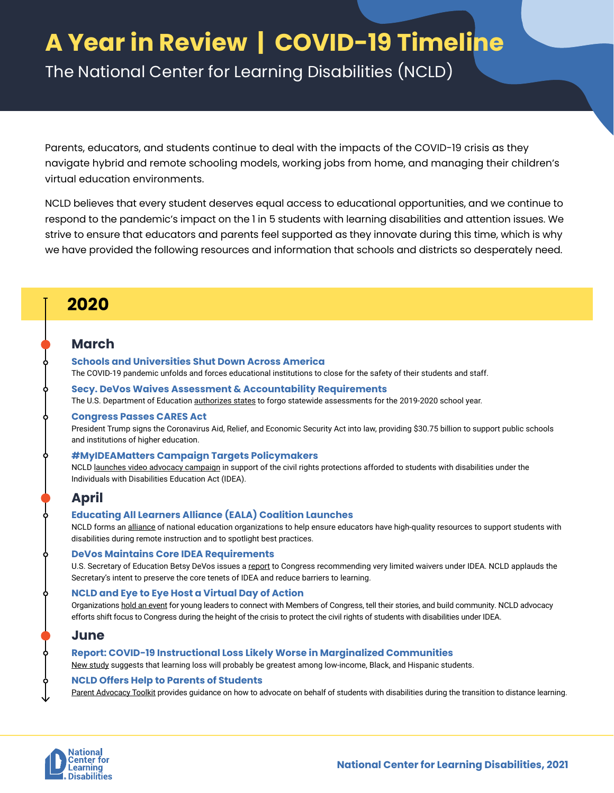# **A Year in Review | COVID-19 Timeline**

The National Center for Learning Disabilities (NCLD)

Parents, educators, and students continue to deal with the impacts of the COVID-19 crisis as they navigate hybrid and remote schooling models, working jobs from home, and managing their children's virtual education environments.

NCLD believes that every student deserves equal access to educational opportunities, and we continue to respond to the pandemic's impact on the 1 in 5 students with learning disabilities and attention issues. We strive to ensure that educators and parents feel supported as they innovate during this time, which is why we have provided the following resources and information that schools and districts so desperately need.

## **2020**

### **March**

#### **Schools and Universities Shut Down Across America**

The COVID-19 pandemic unfolds and forces educational institutions to close for the safety of their students and staff.

#### **Secy. DeVos Waives Assessment & Accountability Requirements**

The U.S. Department of Education [authorizes states](https://www2.ed.gov/policy/gen/guid/secletter/200320.html) to forgo statewide assessments for the 2019-2020 school year.

#### **Congress Passes CARES Act**

President Trump signs the Coronavirus Aid, Relief, and Economic Security Act into law, providing \$30.75 billion to support public schools and institutions of higher education.

#### **#MyIDEAMatters Campaign Targets Policymakers**

NCLD [launches video advocacy campaign](https://www.youtube.com/playlist?list=PLhqt32wmC63D2ShX9cUnV7gJUzG4d4TXN) in support of the civil rights protections afforded to students with disabilities under the Individuals with Disabilities Education Act (IDEA).

### **April**

#### **Educating All Learners Alliance (EALA) Coalition Launches**

NCLD forms an [alliance](https://educatingalllearners.org/) of national education organizations to help ensure educators have high-quality resources to support students with disabilities during remote instruction and to spotlight best practices.

#### **DeVos Maintains Core IDEA Requirements**

U.S. Secretary of Education Betsy DeVos issues a [report](https://www2.ed.gov/documents/coronavirus/cares-waiver-report.pdf) to Congress recommending very limited waivers under IDEA. NCLD applauds the Secretary's intent to preserve the core tenets of IDEA and reduce barriers to learning.

#### **NCLD and Eye to Eye Host a Virtual Day of Action**

Organizations [hold an event](https://ncld.org/what-we-do/young-adults-initiatives/virtual-ld-day-of-action-policy-update) for young leaders to connect with Members of Congress, tell their stories, and build community. NCLD advocacy efforts shift focus to Congress during the height of the crisis to protect the civil rights of students with disabilities under IDEA.

### **June**

#### **Report: COVID-19 Instructional Loss Likely Worse in Marginalized Communities**

[New study](https://www.mckinsey.com/industries/public-and-social-sector/our-insights/covid-19-and-student-learning-in-the-united-states-the-hurt-could-last-a-lifetime) suggests that learning loss will probably be greatest among low-income, Black, and Hispanic students.

### **NCLD Offers Help to Parents of Students**

[Parent Advocacy Toolkit](https://www.ncld.org/wp-content/uploads/2020/06/2020-NCLD-Parent-Advocacy-Toolkit_v2.pdf) provides guidance on how to advocate on behalf of students with disabilities during the transition to distance learning.